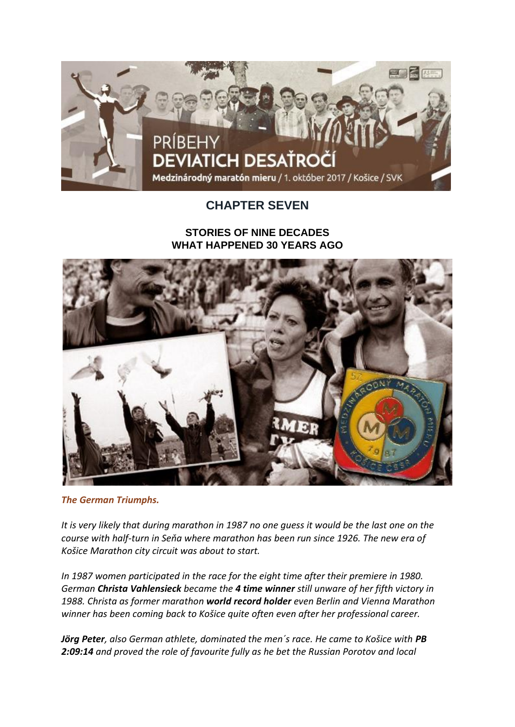

## **CHAPTER SEVEN**

## **STORIES OF NINE DECADES WHAT HAPPENED 30 YEARS AGO**



*The German Triumphs.*

*It is very likely that during marathon in 1987 no one guess it would be the last one on the course with half-turn in Seňa where marathon has been run since 1926. The new era of Košice Marathon city circuit was about to start.*

*In 1987 women participated in the race for the eight time after their premiere in 1980. German Christa Vahlensieck became the 4 time winner still unware of her fifth victory in 1988. Christa as former marathon world record holder even Berlin and Vienna Marathon winner has been coming back to Košice quite often even after her professional career.*

*Jörg Peter, also German athlete, dominated the men´s race. He came to Košice with PB 2:09:14 and proved the role of favourite fully as he bet the Russian Porotov and local*